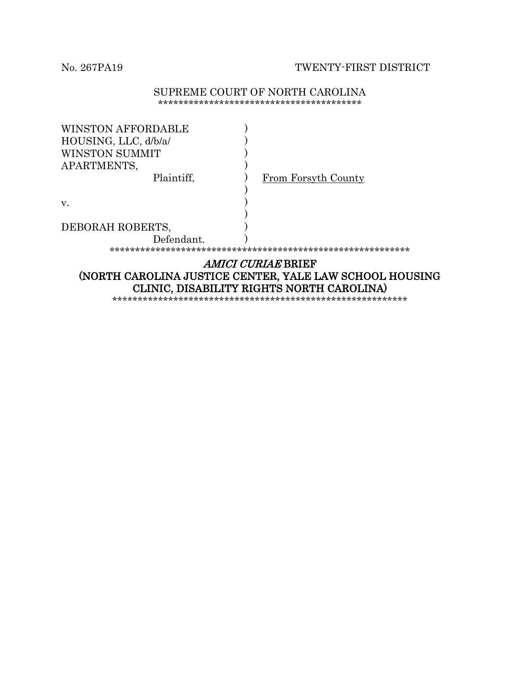No. 267PA19 TWENTY-FIRST DISTRICT

#### SUPREME COURT OF NORTH CAROLINA \*\*\*\*\*\*\*\*\*\*\*\*\*\*\*\*\*\*\*\*\*\*\*\*\*\*\*\*\*\*\*\*\*\*\*\*\*\*\*\*

| <b>WINSTON AFFORDABLE</b>                               |                     |  |
|---------------------------------------------------------|---------------------|--|
| HOUSING, LLC, d/b/a/                                    |                     |  |
| WINSTON SUMMIT                                          |                     |  |
| APARTMENTS,                                             |                     |  |
| Plaintiff,                                              | From Forsyth County |  |
|                                                         |                     |  |
| V.                                                      |                     |  |
|                                                         |                     |  |
| DEBORAH ROBERTS,                                        |                     |  |
| Defendant.                                              |                     |  |
|                                                         |                     |  |
| <i>AMICI CURIAE</i> BRIEF                               |                     |  |
| (NORTH CAROLINA JUSTICE CENTER, YALE LAW SCHOOL HOUSING |                     |  |
|                                                         |                     |  |

CLINIC, DISABILITY RIGHTS NORTH CAROLINA) \*\*\*\*\*\*\*\*\*\*\*\*\*\*\*\*\*\*\*\*\*\*\*\*\*\*\*\*\*\*\*\*\*\*\*\*\*\*\*\*\*\*\*\*\*\*\*\*\*\*\*\*\*\*\*\*\*\*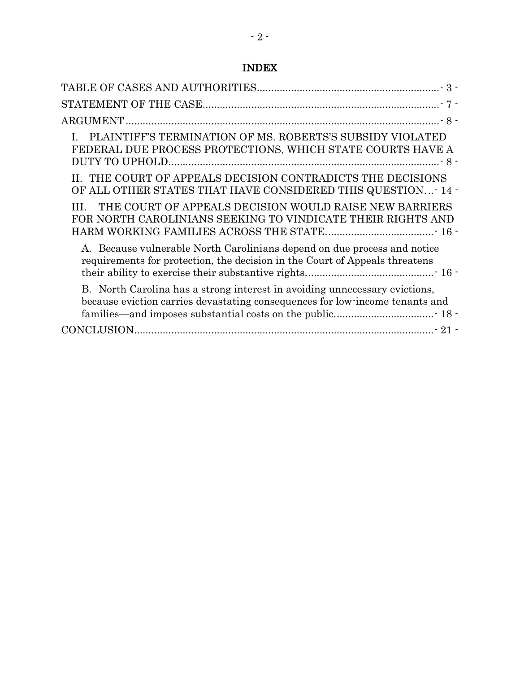### INDEX

| PLAINTIFF'S TERMINATION OF MS. ROBERTS'S SUBSIDY VIOLATED<br>FEDERAL DUE PROCESS PROTECTIONS, WHICH STATE COURTS HAVE A                                    |
|------------------------------------------------------------------------------------------------------------------------------------------------------------|
| II. THE COURT OF APPEALS DECISION CONTRADICTS THE DECISIONS<br>OF ALL OTHER STATES THAT HAVE CONSIDERED THIS QUESTION- 14 -                                |
| THE COURT OF APPEALS DECISION WOULD RAISE NEW BARRIERS<br>FOR NORTH CAROLINIANS SEEKING TO VINDICATE THEIR RIGHTS AND                                      |
| A. Because vulnerable North Carolinians depend on due process and notice<br>requirements for protection, the decision in the Court of Appeals threatens    |
| B. North Carolina has a strong interest in avoiding unnecessary evictions,<br>because eviction carries devastating consequences for low-income tenants and |
|                                                                                                                                                            |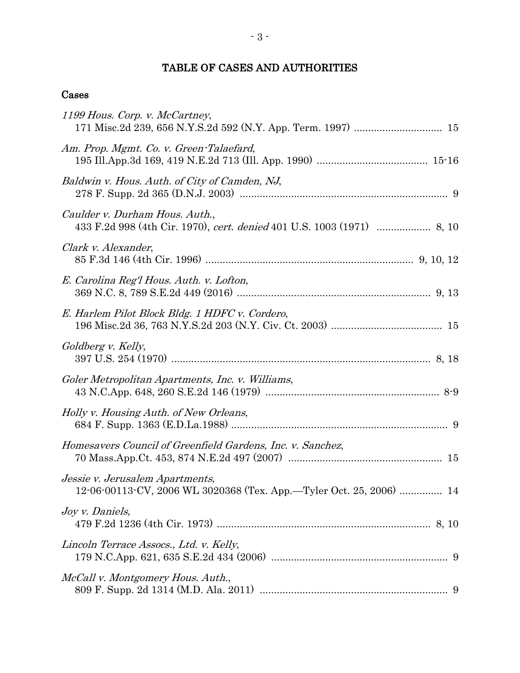### TABLE OF CASES AND AUTHORITIES

### <span id="page-2-0"></span>Cases

| 1199 Hous. Corp. v. McCartney,                                                                           |
|----------------------------------------------------------------------------------------------------------|
| Am. Prop. Mgmt. Co. v. Green-Talaefard,                                                                  |
| Baldwin v. Hous. Auth. of City of Camden, NJ,                                                            |
| Caulder v. Durham Hous. Auth.,<br>433 F.2d 998 (4th Cir. 1970), cert. denied 401 U.S. 1003 (1971)  8, 10 |
| Clark v. Alexander,                                                                                      |
| E. Carolina Reg'l Hous. Auth. v. Lofton,                                                                 |
| E. Harlem Pilot Block Bldg. 1 HDFC v. Cordero,                                                           |
| Goldberg v. Kelly,                                                                                       |
| Goler Metropolitan Apartments, Inc. v. Williams,                                                         |
| Holly v. Housing Auth. of New Orleans,                                                                   |
| Homesavers Council of Greenfield Gardens, Inc. v. Sanchez,                                               |
| Jessie v. Jerusalem Apartments,<br>12-06-00113-CV, 2006 WL 3020368 (Tex. App.-Tyler Oct. 25, 2006)  14   |
| Joy v. Daniels,                                                                                          |
| Lincoln Terrace Assocs., Ltd. v. Kelly,                                                                  |
| McCall v. Montgomery Hous. Auth.,                                                                        |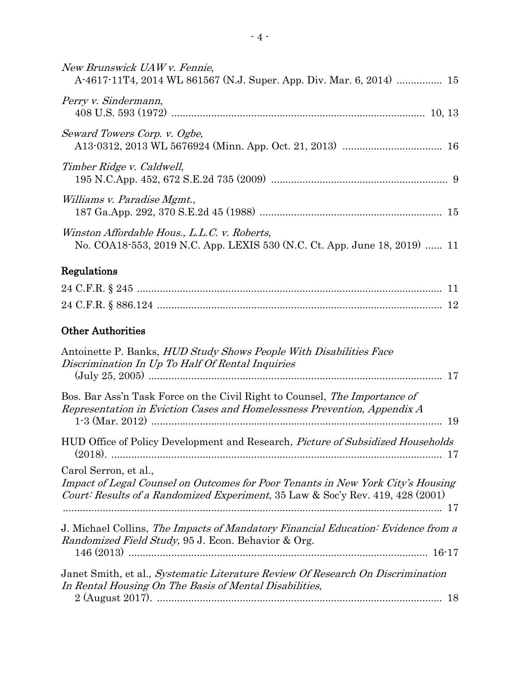| New Brunswick UAW v. Fennie,<br>A-4617-11T4, 2014 WL 861567 (N.J. Super. App. Div. Mar. 6, 2014)  15                                                                                             |
|--------------------------------------------------------------------------------------------------------------------------------------------------------------------------------------------------|
| Perry v. Sindermann,                                                                                                                                                                             |
| Seward Towers Corp. v. Ogbe,                                                                                                                                                                     |
| Timber Ridge v. Caldwell,                                                                                                                                                                        |
| <i>Williams v. Paradise Mgmt.</i> ,                                                                                                                                                              |
| Winston Affordable Hous., L.L.C. v. Roberts,<br>No. COA18-553, 2019 N.C. App. LEXIS 530 (N.C. Ct. App. June 18, 2019)  11                                                                        |
| Regulations                                                                                                                                                                                      |
|                                                                                                                                                                                                  |
|                                                                                                                                                                                                  |
| <b>Other Authorities</b>                                                                                                                                                                         |
| Antoinette P. Banks, <i>HUD Study Shows People With Disabilities Face</i><br>Discrimination In Up To Half Of Rental Inquiries                                                                    |
| Bos. Bar Ass'n Task Force on the Civil Right to Counsel, <i>The Importance of</i><br>Representation in Eviction Cases and Homelessness Prevention, Appendix A                                    |
| HUD Office of Policy Development and Research, Picture of Subsidized Households                                                                                                                  |
| Carol Serron, et al.,<br>Impact of Legal Counsel on Outcomes for Poor Tenants in New York City's Housing<br>Court: Results of a Randomized Experiment, 35 Law & Soc'y Rev. 419, 428 (2001)<br>17 |
| J. Michael Collins, The Impacts of Mandatory Financial Education: Evidence from a<br><i>Randomized Field Study,</i> 95 J. Econ. Behavior & Org.                                                  |
| Janet Smith, et al., <i>Systematic Literature Review Of Research On Discrimination</i><br>In Rental Housing On The Basis of Mental Disabilities,<br>18                                           |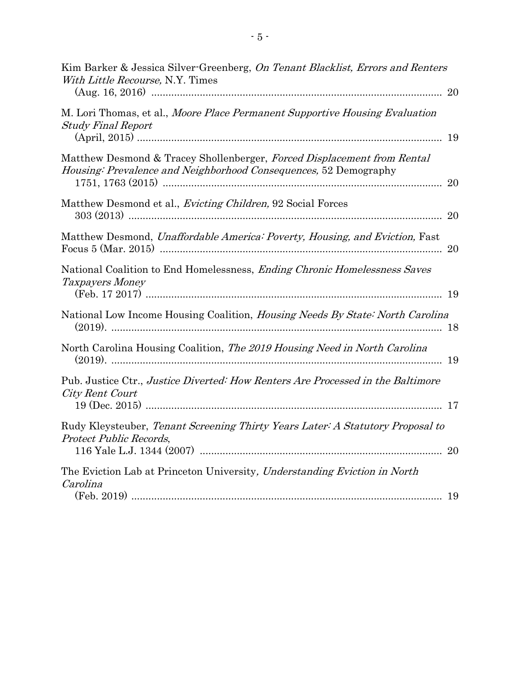| Kim Barker & Jessica Silver-Greenberg, On Tenant Blacklist, Errors and Renters<br>With Little Recourse, N.Y. Times                          |    |
|---------------------------------------------------------------------------------------------------------------------------------------------|----|
| M. Lori Thomas, et al., Moore Place Permanent Supportive Housing Evaluation<br><b>Study Final Report</b>                                    |    |
| Matthew Desmond & Tracey Shollenberger, Forced Displacement from Rental<br>Housing: Prevalence and Neighborhood Consequences, 52 Demography | 20 |
| Matthew Desmond et al., <i>Evicting Children</i> , 92 Social Forces                                                                         | 20 |
| Matthew Desmond, Unaffordable America: Poverty, Housing, and Eviction, Fast                                                                 |    |
| National Coalition to End Homelessness, <i>Ending Chronic Homelessness Saves</i><br>Taxpayers Money                                         |    |
| National Low Income Housing Coalition, <i>Housing Needs By State: North Carolina</i>                                                        |    |
| North Carolina Housing Coalition, The 2019 Housing Need in North Carolina                                                                   |    |
| Pub. Justice Ctr., Justice Diverted: How Renters Are Processed in the Baltimore<br>City Rent Court                                          |    |
| Rudy Kleysteuber, Tenant Screening Thirty Years Later: A Statutory Proposal to<br>Protect Public Records,                                   | 20 |
| The Eviction Lab at Princeton University, Understanding Eviction in North<br>Carolina                                                       |    |
|                                                                                                                                             |    |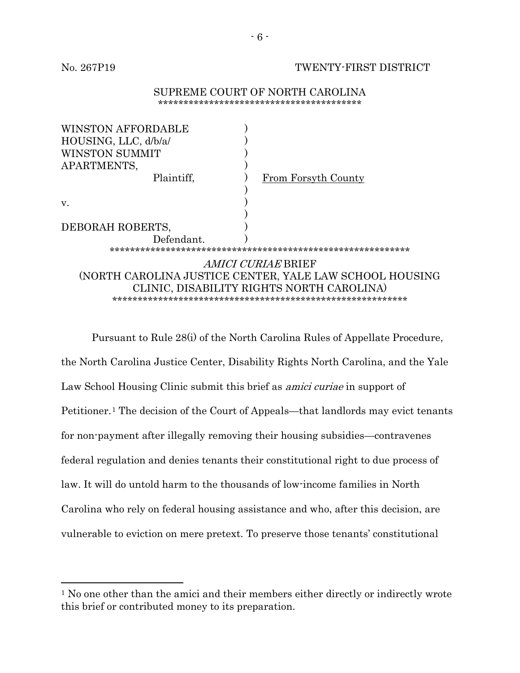$\overline{a}$ 

#### No. 267P19 TWENTY-FIRST DISTRICT

#### SUPREME COURT OF NORTH CAROLINA \*\*\*\*\*\*\*\*\*\*\*\*\*\*\*\*\*\*\*\*\*\*\*\*\*\*\*\*\*\*\*\*\*\*\*\*\*\*\*\*

| WINSTON AFFORDABLE                                      |                     |
|---------------------------------------------------------|---------------------|
| HOUSING, LLC, d/b/a/                                    |                     |
| WINSTON SUMMIT                                          |                     |
| APARTMENTS,                                             |                     |
| Plaintiff,                                              | From Forsyth County |
|                                                         |                     |
| V.                                                      |                     |
|                                                         |                     |
| DEBORAH ROBERTS,                                        |                     |
| Defendant.                                              |                     |
|                                                         |                     |
| <i>AMICI CURIAE</i> BRIEF                               |                     |
| (NORTH CAROLINA JUSTICE CENTER, YALE LAW SCHOOL HOUSING |                     |
| CLINIC, DISABILITY RIGHTS NORTH CAROLINA)               |                     |
|                                                         |                     |
|                                                         |                     |

Pursuant to Rule 28(i) of the North Carolina Rules of Appellate Procedure, the North Carolina Justice Center, Disability Rights North Carolina, and the Yale Law School Housing Clinic submit this brief as *amici curiae* in support of Petitioner.<sup>1</sup> The decision of the Court of Appeals—that landlords may evict tenants for non-payment after illegally removing their housing subsidies—contravenes federal regulation and denies tenants their constitutional right to due process of law. It will do untold harm to the thousands of low-income families in North Carolina who rely on federal housing assistance and who, after this decision, are vulnerable to eviction on mere pretext. To preserve those tenants' constitutional

<sup>1</sup> No one other than the amici and their members either directly or indirectly wrote this brief or contributed money to its preparation.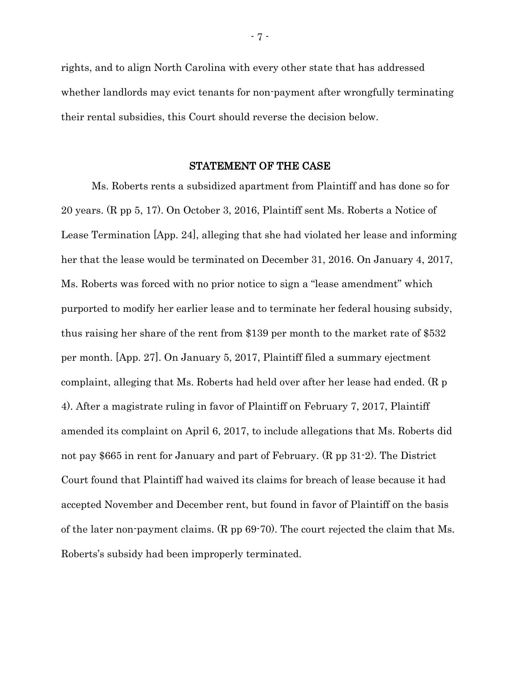rights, and to align North Carolina with every other state that has addressed whether landlords may evict tenants for non-payment after wrongfully terminating their rental subsidies, this Court should reverse the decision below.

#### STATEMENT OF THE CASE

<span id="page-6-1"></span><span id="page-6-0"></span>Ms. Roberts rents a subsidized apartment from Plaintiff and has done so for 20 years. (R pp 5, 17). On October 3, 2016, Plaintiff sent Ms. Roberts a Notice of Lease Termination [App. 24], alleging that she had violated her lease and informing her that the lease would be terminated on December 31, 2016. On January 4, 2017, Ms. Roberts was forced with no prior notice to sign a "lease amendment" which purported to modify her earlier lease and to terminate her federal housing subsidy, thus raising her share of the rent from \$139 per month to the market rate of \$532 per month. [App. 27]. On January 5, 2017, Plaintiff filed a summary ejectment complaint, alleging that Ms. Roberts had held over after her lease had ended. (R p 4). After a magistrate ruling in favor of Plaintiff on February 7, 2017, Plaintiff amended its complaint on April 6, 2017, to include allegations that Ms. Roberts did not pay \$665 in rent for January and part of February. (R pp 31-2). The District Court found that Plaintiff had waived its claims for breach of lease because it had accepted November and December rent, but found in favor of Plaintiff on the basis of the later non-payment claims. (R pp 69-70). The court rejected the claim that Ms. Roberts's subsidy had been improperly terminated.

- 7 -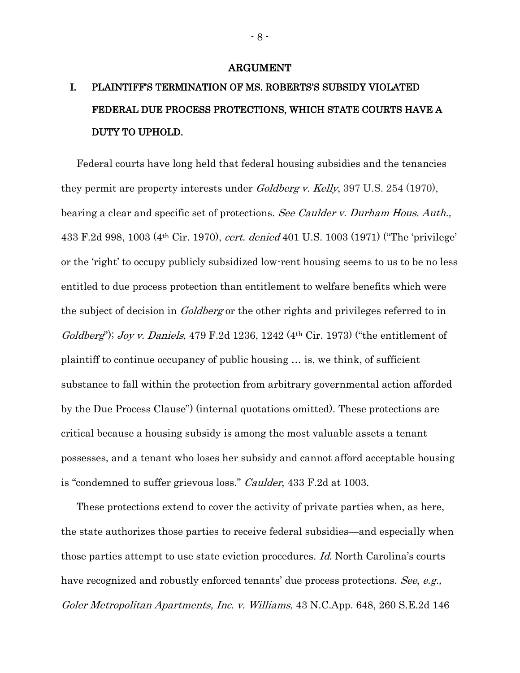#### ARGUMENT

## <span id="page-7-0"></span>I. PLAINTIFF'S TERMINATION OF MS. ROBERTS'S SUBSIDY VIOLATED FEDERAL DUE PROCESS PROTECTIONS, WHICH STATE COURTS HAVE A DUTY TO UPHOLD.

Federal courts have long held that federal housing subsidies and the tenancies they permit are property interests under Goldberg v. Kelly, 397 U.S. 254 (1970), bearing a clear and specific set of protections. See Caulder v. Durham Hous. Auth., 433 F.2d 998, 1003 (4th Cir. 1970), cert. denied 401 U.S. 1003 (1971) ("The 'privilege' or the 'right' to occupy publicly subsidized low-rent housing seems to us to be no less entitled to due process protection than entitlement to welfare benefits which were the subject of decision in *Goldberg* or the other rights and privileges referred to in Goldberg"); Joy v. Daniels, 479 F.2d 1236, 1242 (4<sup>th</sup> Cir. 1973) ("the entitlement of plaintiff to continue occupancy of public housing … is, we think, of sufficient substance to fall within the protection from arbitrary governmental action afforded by the Due Process Clause") (internal quotations omitted). These protections are critical because a housing subsidy is among the most valuable assets a tenant possesses, and a tenant who loses her subsidy and cannot afford acceptable housing is "condemned to suffer grievous loss." Caulder, 433 F.2d at 1003.

These protections extend to cover the activity of private parties when, as here, the state authorizes those parties to receive federal subsidies—and especially when those parties attempt to use state eviction procedures. Id. North Carolina's courts have recognized and robustly enforced tenants' due process protections. See, e.g., Goler Metropolitan Apartments, Inc. v. Williams, 43 N.C.App. 648, 260 S.E.2d 146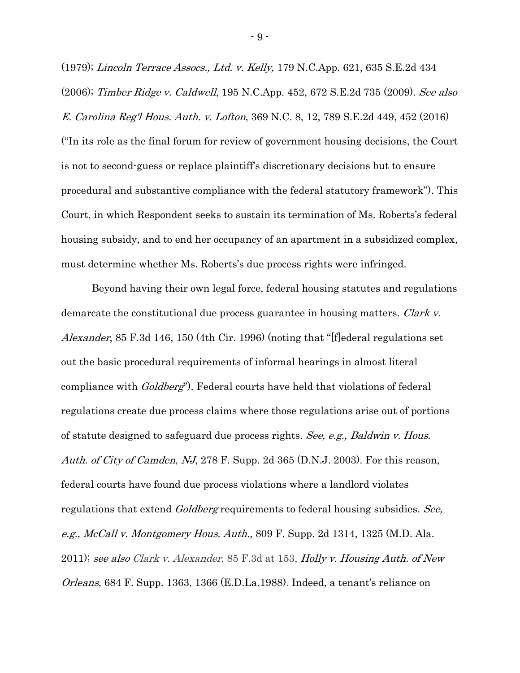(1979); Lincoln Terrace Assocs., Ltd. v. Kelly, 179 N.C.App. 621, 635 S.E.2d 434 (2006); Timber Ridge v. Caldwell, 195 N.C.App. 452, 672 S.E.2d 735 (2009). See also E. Carolina Reg'l Hous. Auth. v. Lofton, 369 N.C. 8, 12, 789 S.E.2d 449, 452 (2016) ("In its role as the final forum for review of government housing decisions, the Court is not to second-guess or replace plaintiff's discretionary decisions but to ensure procedural and substantive compliance with the federal statutory framework"). This Court, in which Respondent seeks to sustain its termination of Ms. Roberts's federal housing subsidy, and to end her occupancy of an apartment in a subsidized complex, must determine whether Ms. Roberts's due process rights were infringed.

Beyond having their own legal force, federal housing statutes and regulations demarcate the constitutional due process guarantee in housing matters. Clark v. Alexander, 85 F.3d 146, 150 (4th Cir. 1996) (noting that "[f]ederal regulations set out the basic procedural requirements of informal hearings in almost literal compliance with *Goldberg*"). Federal courts have held that violations of federal regulations create due process claims where those regulations arise out of portions of statute designed to safeguard due process rights. See, e.g., Baldwin v. Hous. Auth. of City of Camden, NJ, 278 F. Supp. 2d 365 (D.N.J. 2003). For this reason, federal courts have found due process violations where a landlord violates regulations that extend *Goldberg* requirements to federal housing subsidies. See, e.g., McCall v. Montgomery Hous. Auth., 809 F. Supp. 2d  $1314$ ,  $1325$  (M.D. Ala. 2011); see also Clark v. Alexander, 85 F.3d at 153, Holly v. Housing Auth. of New *Orleans*, 684 F. Supp. 1363, 1366 (E.D.La.1988). Indeed, a tenant's reliance on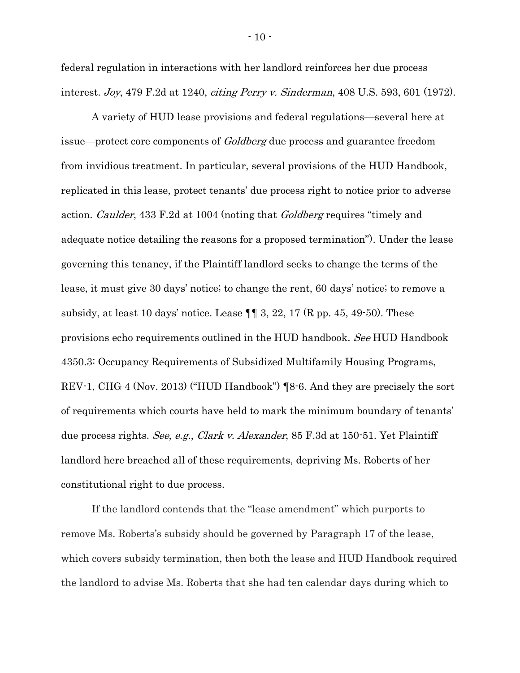federal regulation in interactions with her landlord reinforces her due process interest. Joy, 479 F.2d at 1240, citing Perry v. Sinderman, 408 U.S. 593, 601 (1972).

A variety of HUD lease provisions and federal regulations—several here at issue—protect core components of *Goldberg* due process and guarantee freedom from invidious treatment. In particular, several provisions of the HUD Handbook, replicated in this lease, protect tenants' due process right to notice prior to adverse action. Caulder, 433 F.2d at 1004 (noting that Goldberg requires "timely and adequate notice detailing the reasons for a proposed termination"). Under the lease governing this tenancy, if the Plaintiff landlord seeks to change the terms of the lease, it must give 30 days' notice; to change the rent, 60 days' notice; to remove a subsidy, at least 10 days' notice. Lease  $\P\P$  3, 22, 17 (R pp. 45, 49-50). These provisions echo requirements outlined in the HUD handbook. See HUD Handbook 4350.3: Occupancy Requirements of Subsidized Multifamily Housing Programs, REV-1, CHG 4 (Nov. 2013) ("HUD Handbook") ¶8-6. And they are precisely the sort of requirements which courts have held to mark the minimum boundary of tenants' due process rights. See, e.g., Clark v. Alexander, 85 F.3d at 150-51. Yet Plaintiff landlord here breached all of these requirements, depriving Ms. Roberts of her constitutional right to due process.

If the landlord contends that the "lease amendment" which purports to remove Ms. Roberts's subsidy should be governed by Paragraph 17 of the lease, which covers subsidy termination, then both the lease and HUD Handbook required the landlord to advise Ms. Roberts that she had ten calendar days during which to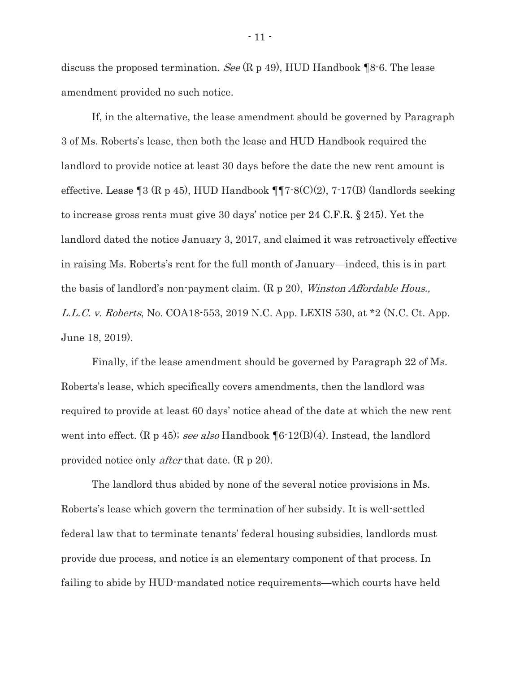discuss the proposed termination. See  $(R p 49)$ , HUD Handbook  $\P 8$ -6. The lease amendment provided no such notice.

If, in the alternative, the lease amendment should be governed by Paragraph 3 of Ms. Roberts's lease, then both the lease and HUD Handbook required the landlord to provide notice at least 30 days before the date the new rent amount is effective. Lease ¶3 (R p 45), HUD Handbook ¶¶7-8(C)(2), 7-17(B) (landlords seeking to increase gross rents must give 30 days' notice per 24 C.F.R. § 245). Yet the landlord dated the notice January 3, 2017, and claimed it was retroactively effective in raising Ms. Roberts's rent for the full month of January—indeed, this is in part the basis of landlord's non-payment claim. (R p 20), *Winston Affordable Hous.*, L.L.C. v. Roberts, No. COA18-553, 2019 N.C. App. LEXIS 530, at \*2 (N.C. Ct. App. June 18, 2019).

<span id="page-10-0"></span>Finally, if the lease amendment should be governed by Paragraph 22 of Ms. Roberts's lease, which specifically covers amendments, then the landlord was required to provide at least 60 days' notice ahead of the date at which the new rent went into effect. (R p 45); see also Handbook  $\P 6\text{-}12(B)(4)$ . Instead, the landlord provided notice only *after* that date. (R p 20).

The landlord thus abided by none of the several notice provisions in Ms. Roberts's lease which govern the termination of her subsidy. It is well-settled federal law that to terminate tenants' federal housing subsidies, landlords must provide due process, and notice is an elementary component of that process. In failing to abide by HUD-mandated notice requirements—which courts have held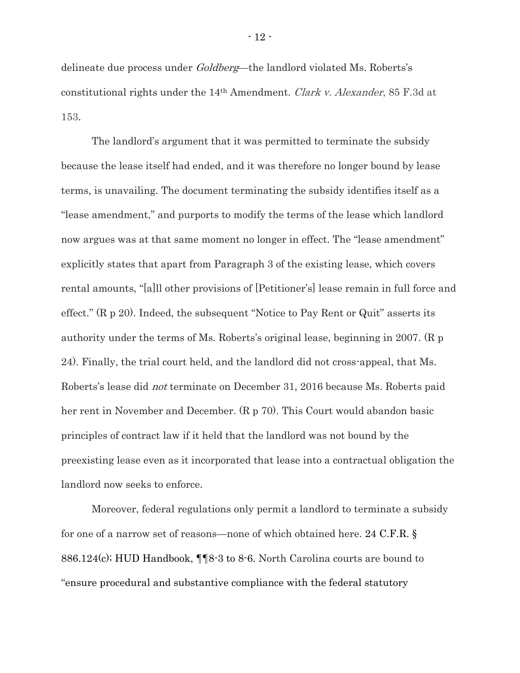delineate due process under *Goldberg*—the landlord violated Ms. Roberts's constitutional rights under the 14th Amendment. Clark v. Alexander, 85 F.3d at 153.

The landlord's argument that it was permitted to terminate the subsidy because the lease itself had ended, and it was therefore no longer bound by lease terms, is unavailing. The document terminating the subsidy identifies itself as a "lease amendment," and purports to modify the terms of the lease which landlord now argues was at that same moment no longer in effect. The "lease amendment" explicitly states that apart from Paragraph 3 of the existing lease, which covers rental amounts, "[a]ll other provisions of [Petitioner's] lease remain in full force and effect." (R p 20). Indeed, the subsequent "Notice to Pay Rent or Quit" asserts its authority under the terms of Ms. Roberts's original lease, beginning in 2007. (R p 24). Finally, the trial court held, and the landlord did not cross-appeal, that Ms. Roberts's lease did not terminate on December 31, 2016 because Ms. Roberts paid her rent in November and December. (R p 70). This Court would abandon basic principles of contract law if it held that the landlord was not bound by the preexisting lease even as it incorporated that lease into a contractual obligation the landlord now seeks to enforce.

Moreover, federal regulations only permit a landlord to terminate a subsidy for one of a narrow set of reasons—none of which obtained here. 24 C.F.R. § 886.124(c); HUD Handbook, ¶¶8-3 to 8-6. North Carolina courts are bound to "ensure procedural and substantive compliance with the federal statutory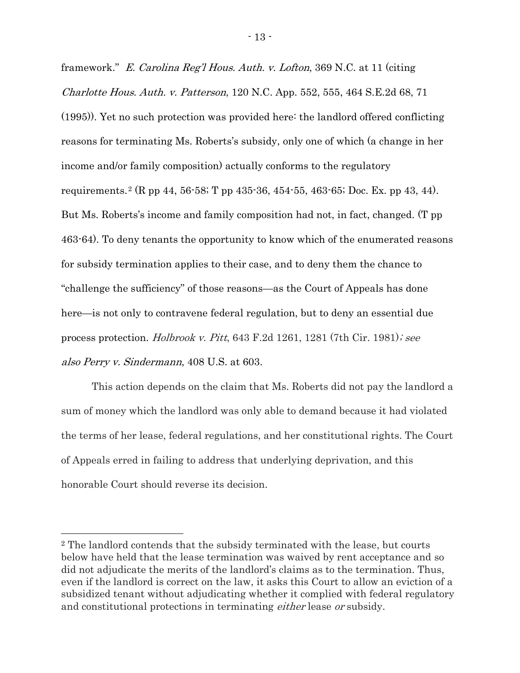framework." E. Carolina Reg'l Hous. Auth. v. Lofton, 369 N.C. at 11 (citing Charlotte Hous. Auth. v. Patterson, 120 N.C. App. 552, 555, 464 S.E.2d 68, 71 (1995)). Yet no such protection was provided here: the landlord offered conflicting reasons for terminating Ms. Roberts's subsidy, only one of which (a change in her income and/or family composition) actually conforms to the regulatory requirements.<sup>2</sup> (R pp 44, 56-58; T pp 435-36, 454-55, 463-65; Doc. Ex. pp 43, 44). But Ms. Roberts's income and family composition had not, in fact, changed. (T pp 463-64). To deny tenants the opportunity to know which of the enumerated reasons for subsidy termination applies to their case, and to deny them the chance to "challenge the sufficiency" of those reasons—as the Court of Appeals has done here—is not only to contravene federal regulation, but to deny an essential due process protection. Holbrook v. Pitt, 643 F.2d 1261, 1281 (7th Cir. 1981); see also Perry v. Sindermann, 408 U.S. at 603.

This action depends on the claim that Ms. Roberts did not pay the landlord a sum of money which the landlord was only able to demand because it had violated the terms of her lease, federal regulations, and her constitutional rights. The Court of Appeals erred in failing to address that underlying deprivation, and this honorable Court should reverse its decision.

 $\overline{a}$ 

<sup>2</sup> The landlord contends that the subsidy terminated with the lease, but courts below have held that the lease termination was waived by rent acceptance and so did not adjudicate the merits of the landlord's claims as to the termination. Thus, even if the landlord is correct on the law, it asks this Court to allow an eviction of a subsidized tenant without adjudicating whether it complied with federal regulatory and constitutional protections in terminating *either* lease *or* subsidy.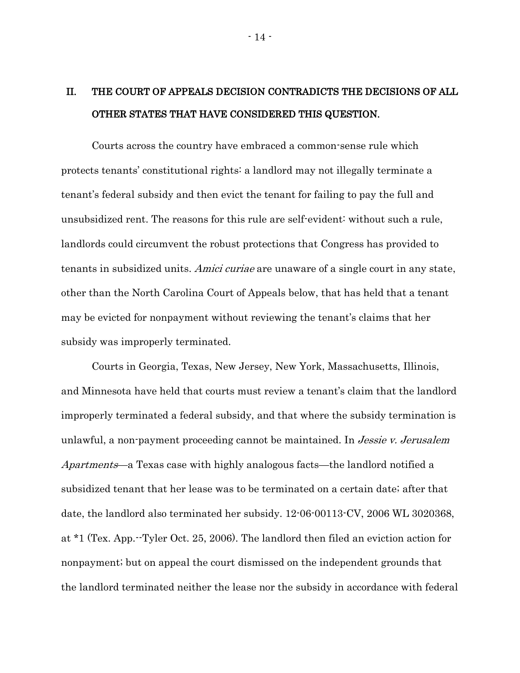## <span id="page-13-0"></span>II. THE COURT OF APPEALS DECISION CONTRADICTS THE DECISIONS OF ALL OTHER STATES THAT HAVE CONSIDERED THIS QUESTION.

Courts across the country have embraced a common-sense rule which protects tenants' constitutional rights: a landlord may not illegally terminate a tenant's federal subsidy and then evict the tenant for failing to pay the full and unsubsidized rent. The reasons for this rule are self-evident: without such a rule, landlords could circumvent the robust protections that Congress has provided to tenants in subsidized units. Amici curiae are unaware of a single court in any state, other than the North Carolina Court of Appeals below, that has held that a tenant may be evicted for nonpayment without reviewing the tenant's claims that her subsidy was improperly terminated.

Courts in Georgia, Texas, New Jersey, New York, Massachusetts, Illinois, and Minnesota have held that courts must review a tenant's claim that the landlord improperly terminated a federal subsidy, and that where the subsidy termination is unlawful, a non-payment proceeding cannot be maintained. In *Jessie v. Jerusalem* Apartments—a Texas case with highly analogous facts—the landlord notified a subsidized tenant that her lease was to be terminated on a certain date; after that date, the landlord also terminated her subsidy. 12-06-00113-CV, 2006 WL 3020368, at \*1 (Tex. App.--Tyler Oct. 25, 2006). The landlord then filed an eviction action for nonpayment; but on appeal the court dismissed on the independent grounds that the landlord terminated neither the lease nor the subsidy in accordance with federal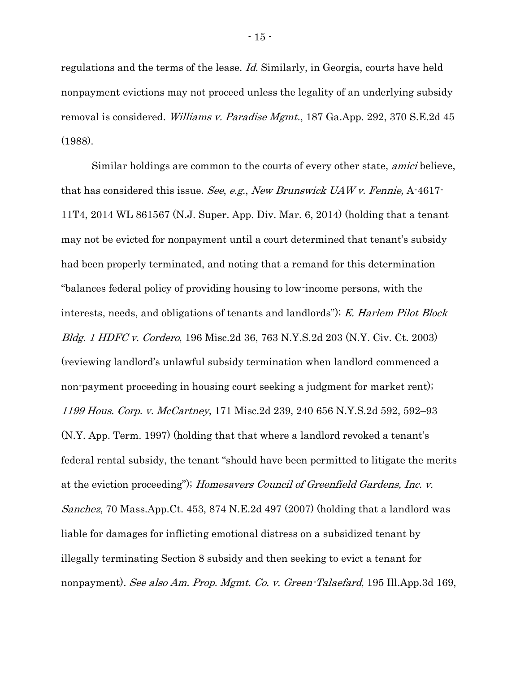regulations and the terms of the lease. Id. Similarly, in Georgia, courts have held nonpayment evictions may not proceed unless the legality of an underlying subsidy removal is considered. Williams v. Paradise Mgmt., 187 Ga.App. 292, 370 S.E.2d 45 (1988).

Similar holdings are common to the courts of every other state, amici believe, that has considered this issue. See, e.g., New Brunswick UAW v. Fennie, A-4617- 11T4, 2014 WL 861567 (N.J. Super. App. Div. Mar. 6, 2014) (holding that a tenant may not be evicted for nonpayment until a court determined that tenant's subsidy had been properly terminated, and noting that a remand for this determination "balances federal policy of providing housing to low-income persons, with the interests, needs, and obligations of tenants and landlords"); E. Harlem Pilot Block Bldg. <sup>1</sup> HDFC v. Cordero, 196 Misc.2d 36, 763 N.Y.S.2d 203 (N.Y. Civ. Ct. 2003) (reviewing landlord's unlawful subsidy termination when landlord commenced a non-payment proceeding in housing court seeking a judgment for market rent); 1199 Hous. Corp. v. McCartney, 171 Misc.2d 239, 240 656 N.Y.S.2d 592, 592–93 (N.Y. App. Term. 1997) (holding that that where a landlord revoked a tenant's federal rental subsidy, the tenant "should have been permitted to litigate the merits at the eviction proceeding"); Homesavers Council of Greenfield Gardens, Inc. v. Sanchez, 70 Mass.App.Ct. 453, 874 N.E.2d 497 (2007) (holding that a landlord was liable for damages for inflicting emotional distress on a subsidized tenant by illegally terminating Section 8 subsidy and then seeking to evict a tenant for nonpayment). See also Am. Prop. Mgmt. Co. v. Green-Talaefard, 195 Ill.App.3d 169,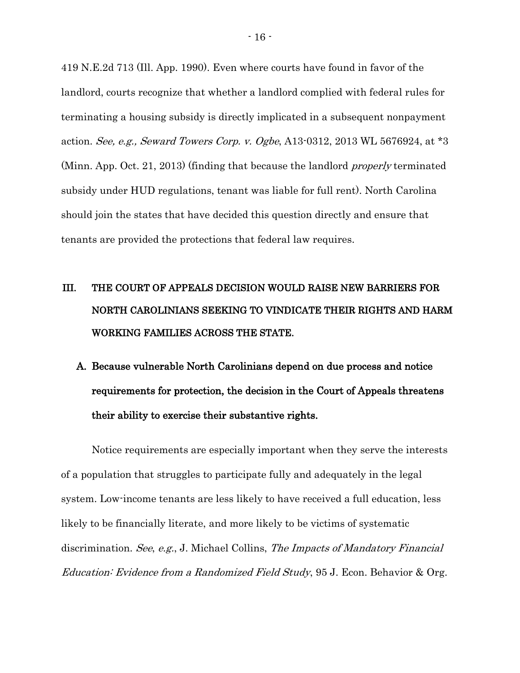419 N.E.2d 713 (Ill. App. 1990). Even where courts have found in favor of the landlord, courts recognize that whether a landlord complied with federal rules for terminating a housing subsidy is directly implicated in a subsequent nonpayment action. See, e.g., Seward Towers Corp. v. Ogbe, A13-0312, 2013 WL 5676924, at \*3 (Minn. App. Oct. 21, 2013) (finding that because the landlord properly terminated subsidy under HUD regulations, tenant was liable for full rent). North Carolina should join the states that have decided this question directly and ensure that tenants are provided the protections that federal law requires.

## <span id="page-15-0"></span>III. THE COURT OF APPEALS DECISION WOULD RAISE NEW BARRIERS FOR NORTH CAROLINIANS SEEKING TO VINDICATE THEIR RIGHTS AND HARM WORKING FAMILIES ACROSS THE STATE.

<span id="page-15-1"></span>A. Because vulnerable North Carolinians depend on due process and notice requirements for protection, the decision in the Court of Appeals threatens their ability to exercise their substantive rights.

<span id="page-15-2"></span>Notice requirements are especially important when they serve the interests of a population that struggles to participate fully and adequately in the legal system. Low-income tenants are less likely to have received a full education, less likely to be financially literate, and more likely to be victims of systematic discrimination. See, e.g., J. Michael Collins, The Impacts of Mandatory Financial Education: Evidence from a Randomized Field Study, 95 J. Econ. Behavior & Org.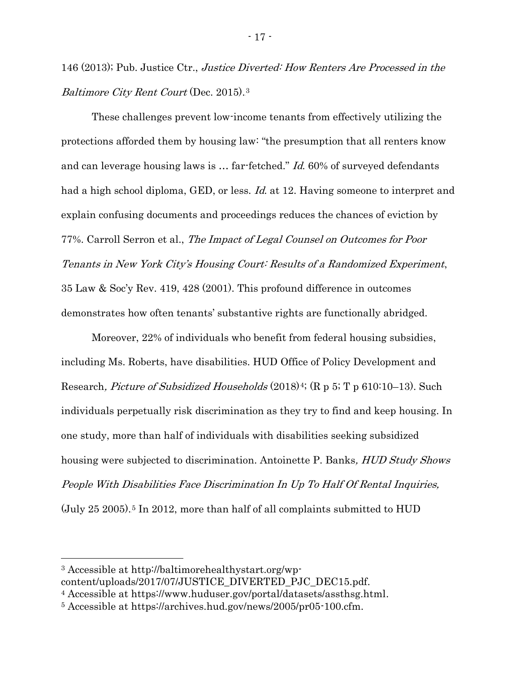<span id="page-16-2"></span>146 (2013); Pub. Justice Ctr., Justice Diverted: How Renters Are Processed in the Baltimore City Rent Court (Dec. 2015).<sup>3</sup>

These challenges prevent low-income tenants from effectively utilizing the protections afforded them by housing law: "the presumption that all renters know and can leverage housing laws is … far-fetched." Id. 60% of surveyed defendants had a high school diploma, GED, or less. *Id.* at 12. Having someone to interpret and explain confusing documents and proceedings reduces the chances of eviction by 77%. Carroll Serron et al., The Impact of Legal Counsel on Outcomes for Poor Tenants in New York City's Housing Court: Results of a Randomized Experiment, 35 Law & Soc'y Rev. 419, 428 (2001). This profound difference in outcomes demonstrates how often tenants' substantive rights are functionally abridged.

<span id="page-16-0"></span>Moreover, 22% of individuals who benefit from federal housing subsidies, including Ms. Roberts, have disabilities. HUD Office of Policy Development and Research, *Picture of Subsidized Households* (2018)<sup>4</sup>; (R p 5; T p 610:10–13). Such individuals perpetually risk discrimination as they try to find and keep housing. In one study, more than half of individuals with disabilities seeking subsidized housing were subjected to discrimination. Antoinette P. Banks, HUD Study Shows People With Disabilities Face Discrimination In Up To Half Of Rental Inquiries,  $(July 25 2005).$ <sup>5</sup> In 2012, more than half of all complaints submitted to HUD

<span id="page-16-1"></span> $\overline{a}$ 

<sup>3</sup> Accessible at http://baltimorehealthystart.org/wpcontent/uploads/2017/07/JUSTICE\_DIVERTED\_PJC\_DEC15.pdf.

<sup>4</sup> Accessible at https://www.huduser.gov/portal/datasets/assthsg.html.

<sup>5</sup> Accessible at https://archives.hud.gov/news/2005/pr05-100.cfm.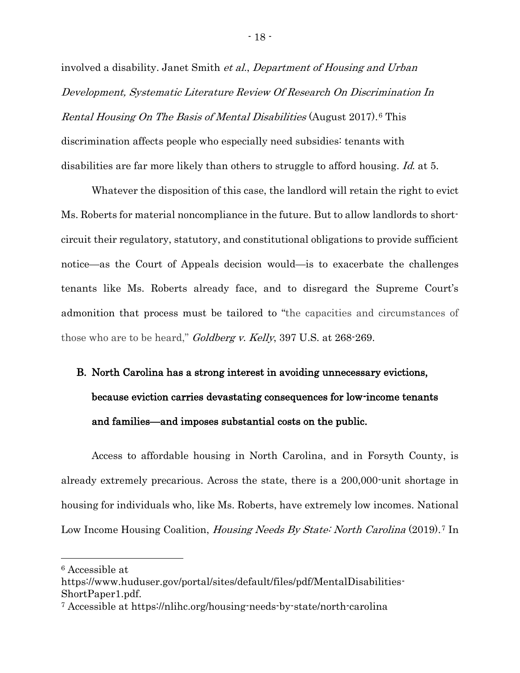<span id="page-17-1"></span>involved a disability. Janet Smith et al., Department of Housing and Urban Development, Systematic Literature Review Of Research On Discrimination In Rental Housing On The Basis of Mental Disabilities (August 2017).<sup>6</sup> This discrimination affects people who especially need subsidies: tenants with disabilities are far more likely than others to struggle to afford housing. Id. at 5.

Whatever the disposition of this case, the landlord will retain the right to evict Ms. Roberts for material noncompliance in the future. But to allow landlords to shortcircuit their regulatory, statutory, and constitutional obligations to provide sufficient notice—as the Court of Appeals decision would—is to exacerbate the challenges tenants like Ms. Roberts already face, and to disregard the Supreme Court's admonition that process must be tailored to "the capacities and circumstances of those who are to be heard," *Goldberg v. Kelly*, 397 U.S. at 268-269.

# <span id="page-17-0"></span>B. North Carolina has a strong interest in avoiding unnecessary evictions, because eviction carries devastating consequences for low-income tenants and families—and imposes substantial costs on the public.

Access to affordable housing in North Carolina, and in Forsyth County, is already extremely precarious. Across the state, there is a 200,000-unit shortage in housing for individuals who, like Ms. Roberts, have extremely low incomes. National Low Income Housing Coalition, *Housing Needs By State: North Carolina* (2019).<sup>7</sup> In

<sup>6</sup> Accessible at

<span id="page-17-2"></span> $\overline{a}$ 

https://www.huduser.gov/portal/sites/default/files/pdf/MentalDisabilities-ShortPaper1.pdf.

<sup>7</sup> Accessible at https://nlihc.org/housing-needs-by-state/north-carolina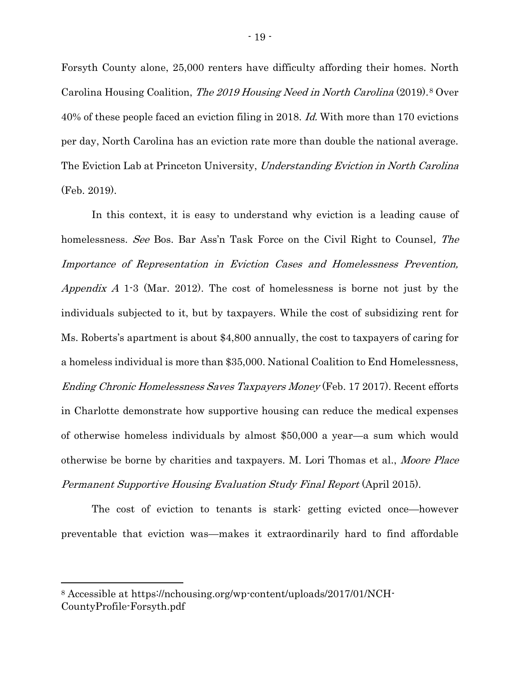<span id="page-18-2"></span>Forsyth County alone, 25,000 renters have difficulty affording their homes. North Carolina Housing Coalition, The 2019 Housing Need in North Carolina (2019).<sup>8</sup> Over 40% of these people faced an eviction filing in 2018. Id. With more than 170 evictions per day, North Carolina has an eviction rate more than double the national average. The Eviction Lab at Princeton University, Understanding Eviction in North Carolina (Feb. 2019).

<span id="page-18-1"></span>In this context, it is easy to understand why eviction is a leading cause of homelessness. See Bos. Bar Ass'n Task Force on the Civil Right to Counsel, The Importance of Representation in Eviction Cases and Homelessness Prevention, Appendix A 1.3 (Mar. 2012). The cost of homelessness is borne not just by the individuals subjected to it, but by taxpayers. While the cost of subsidizing rent for Ms. Roberts's apartment is about \$4,800 annually, the cost to taxpayers of caring for a homeless individual is more than \$35,000. National Coalition to End Homelessness, Ending Chronic Homelessness Saves Taxpayers Money (Feb. 17 2017). Recent efforts in Charlotte demonstrate how supportive housing can reduce the medical expenses of otherwise homeless individuals by almost \$50,000 a year—a sum which would otherwise be borne by charities and taxpayers. M. Lori Thomas et al., Moore Place Permanent Supportive Housing Evaluation Study Final Report (April 2015).

<span id="page-18-0"></span>The cost of eviction to tenants is stark: getting evicted once—however preventable that eviction was—makes it extraordinarily hard to find affordable

 $\overline{a}$ 

<sup>8</sup> Accessible at https://nchousing.org/wp-content/uploads/2017/01/NCH-CountyProfile-Forsyth.pdf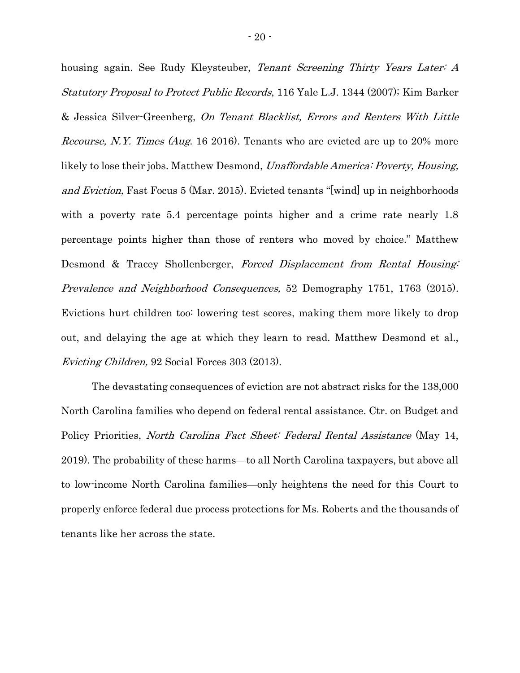<span id="page-19-3"></span><span id="page-19-2"></span>housing again. See Rudy Kleysteuber, Tenant Screening Thirty Years Later: A Statutory Proposal to Protect Public Records, 116 Yale L.J. 1344 (2007); Kim Barker & Jessica Silver-Greenberg, On Tenant Blacklist, Errors and Renters With Little Recourse, N.Y. Times (Aug. 16 2016). Tenants who are evicted are up to 20% more likely to lose their jobs. Matthew Desmond, *Unaffordable America: Poverty, Housing*, and Eviction, Fast Focus 5 (Mar. 2015). Evicted tenants "[wind] up in neighborhoods with a poverty rate 5.4 percentage points higher and a crime rate nearly 1.8 percentage points higher than those of renters who moved by choice." Matthew Desmond & Tracey Shollenberger, Forced Displacement from Rental Housing: Prevalence and Neighborhood Consequences, 52 Demography 1751, 1763 (2015). Evictions hurt children too: lowering test scores, making them more likely to drop out, and delaying the age at which they learn to read. Matthew Desmond et al., Evicting Children, 92 Social Forces 303 (2013).

<span id="page-19-1"></span><span id="page-19-0"></span>The devastating consequences of eviction are not abstract risks for the 138,000 North Carolina families who depend on federal rental assistance. Ctr. on Budget and Policy Priorities, *North Carolina Fact Sheet: Federal Rental Assistance* (May 14, 2019). The probability of these harms—to all North Carolina taxpayers, but above all to low-income North Carolina families—only heightens the need for this Court to properly enforce federal due process protections for Ms. Roberts and the thousands of tenants like her across the state.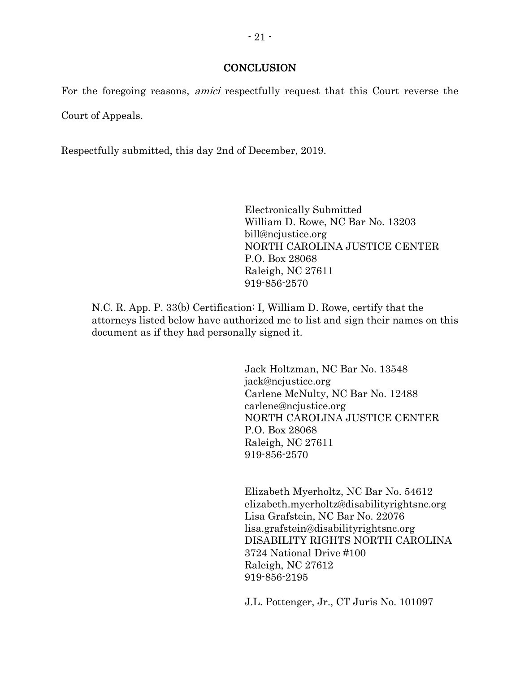#### **CONCLUSION**

For the foregoing reasons, *amici* respectfully request that this Court reverse the Court of Appeals.

Respectfully submitted, this day 2nd of December, 2019.

Electronically Submitted William D. Rowe, NC Bar No. 13203 bill@ncjustice.org NORTH CAROLINA JUSTICE CENTER P.O. Box 28068 Raleigh, NC 27611 919-856-2570

N.C. R. App. P. 33(b) Certification: I, William D. Rowe, certify that the attorneys listed below have authorized me to list and sign their names on this document as if they had personally signed it.

> Jack Holtzman, NC Bar No. 13548 jack@ncjustice.org Carlene McNulty, NC Bar No. 12488 carlene@ncjustice.org NORTH CAROLINA JUSTICE CENTER P.O. Box 28068 Raleigh, NC 27611 919-856-2570

Elizabeth Myerholtz, NC Bar No. 54612 elizabeth.myerholtz@disabilityrightsnc.org Lisa Grafstein, NC Bar No. 22076 lisa.grafstein@disabilityrightsnc.org DISABILITY RIGHTS NORTH CAROLINA 3724 National Drive #100 Raleigh, NC 27612 919-856-2195

J.L. Pottenger, Jr., CT Juris No. 101097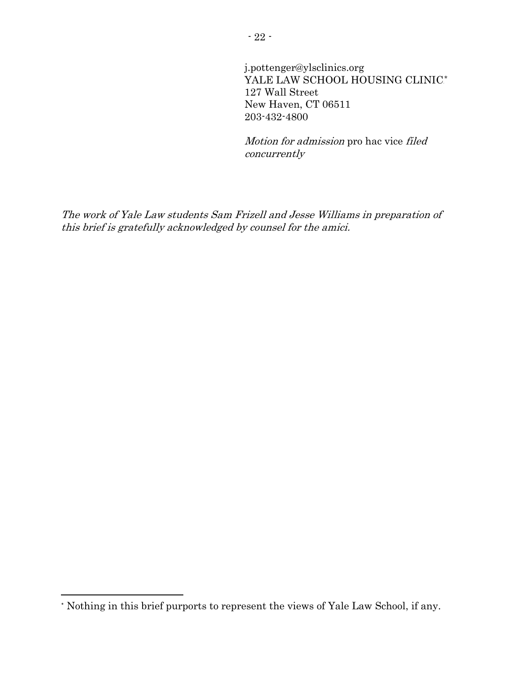j.pottenger@ylsclinics.org YALE LAW SCHOOL HOUSING CLINIC\* 127 Wall Street New Haven, CT 06511 203-432-4800

Motion for admission pro hac vice filed concurrently

The work of Yale Law students Sam Frizell and Jesse Williams in preparation of this brief is gratefully acknowledged by counsel for the amici.

 $\overline{a}$ 

<sup>\*</sup> Nothing in this brief purports to represent the views of Yale Law School, if any.